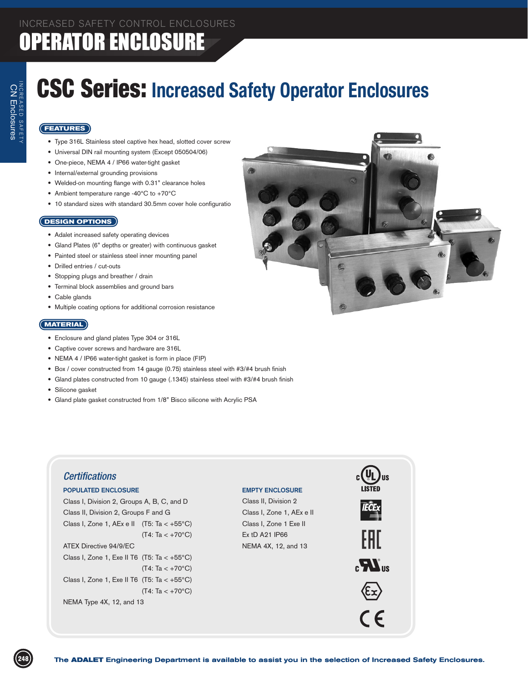# CSC Series: **Increased Safety Operator Enclosures**

### **FEATURES**

NCREASED SAFET INCREASED SAFETY Enclosures

- Type 316L Stainless steel captive hex head, slotted cover screw
- • Universal DIN rail mounting system (Except 050504/06)
- One-piece, NEMA 4 / IP66 water-tight gasket
- • Internal/external grounding provisions
- • Welded-on mounting flange with 0.31" clearance holes
- Ambient temperature range -40°C to +70°C
- 10 standard sizes with standard 30.5mm cover hole configuratio

#### **DESIGN OPTIONS**

- Adalet increased safety operating devices
- • Gland Plates (6" depths or greater) with continuous gasket
- Painted steel or stainless steel inner mounting panel
- • Drilled entries / cut-outs
- Stopping plugs and breather / drain
- Terminal block assemblies and ground bars
- Cable glands
- • Multiple coating options for additional corrosion resistance

#### **MATERIAL**

- • Enclosure and gland plates Type 304 or 316L
- • Captive cover screws and hardware are 316L
- • NEMA 4 / IP66 water-tight gasket is form in place (FIP)
- Box / cover constructed from 14 gauge (0.75) stainless steel with #3/#4 brush finish
- Gland plates constructed from 10 gauge (.1345) stainless steel with #3/#4 brush finish
- • Silicone gasket
- Gland plate gasket constructed from 1/8" Bisco silicone with Acrylic PSA